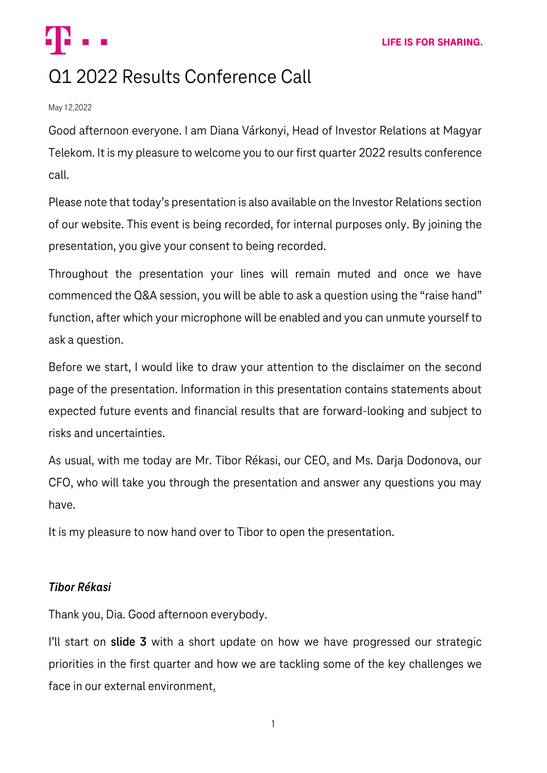# Q1 2022 Results Conference Call

#### May 12,2022

Good afternoon everyone. I am Diana Várkonyi, Head of Investor Relations at Magyar Telekom. It is my pleasure to welcome you to our first quarter 2022 results conference call.

Please note that today's presentation is also available on the Investor Relations section of our website. This event is being recorded, for internal purposes only. By joining the presentation, you give your consent to being recorded.

Throughout the presentation your lines will remain muted and once we have commenced the Q&A session, you will be able to ask a question using the "raise hand" function, after which your microphone will be enabled and you can unmute yourself to ask a question.

Before we start, I would like to draw your attention to the disclaimer on the second page of the presentation. Information in this presentation contains statements about expected future events and financial results that are forward-looking and subject to risks and uncertainties.

As usual, with me today are Mr. Tibor Rékasi, our CEO, and Ms. Darja Dodonova, our CFO, who will take you through the presentation and answer any questions you may have.

It is my pleasure to now hand over to Tibor to open the presentation.

# *Tibor Rékasi*

Thank you, Dia. Good afternoon everybody.

I'll start on **slide 3** with a short update on how we have progressed our strategic priorities in the first quarter and how we are tackling some of the key challenges we face in our external environment.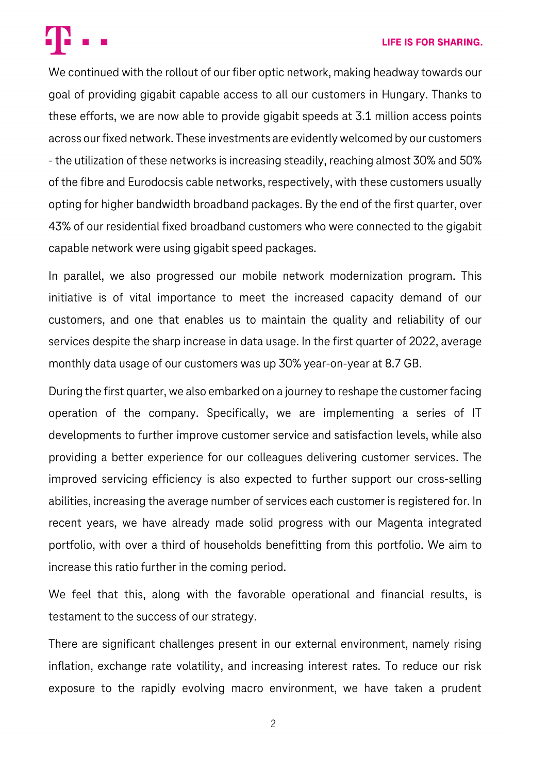#### **LIFE IS FOR SHARING.**



We continued with the rollout of our fiber optic network, making headway towards our goal of providing gigabit capable access to all our customers in Hungary. Thanks to these efforts, we are now able to provide gigabit speeds at 3.1 million access points across our fixed network. These investments are evidentlywelcomed by our customers - the utilization of these networks is increasing steadily, reaching almost 30% and 50% of the fibre and Eurodocsis cable networks, respectively, with these customers usually opting for higher bandwidth broadband packages. By the end of the first quarter, over 43% of our residential fixed broadband customers who were connected to the gigabit capable network were using gigabit speed packages.

In parallel, we also progressed our mobile network modernization program. This initiative is of vital importance to meet the increased capacity demand of our customers, and one that enables us to maintain the quality and reliability of our services despite the sharp increase in data usage. In the first quarter of 2022, average monthly data usage of our customers was up 30% year-on-year at 8.7 GB.

During the first quarter, we also embarked on a journey to reshape the customer facing operation of the company. Specifically, we are implementing a series of IT developments to further improve customer service and satisfaction levels, while also providing a better experience for our colleagues delivering customer services. The improved servicing efficiency is also expected to further support our cross-selling abilities, increasing the average number of services each customer is registered for. In recent years, we have already made solid progress with our Magenta integrated portfolio, with over a third of households benefitting from this portfolio. We aim to increase this ratio further in the coming period.

We feel that this, along with the favorable operational and financial results, is testament to the success of our strategy.

There are significant challenges present in our external environment, namely rising inflation, exchange rate volatility, and increasing interest rates. To reduce our risk exposure to the rapidly evolving macro environment, we have taken a prudent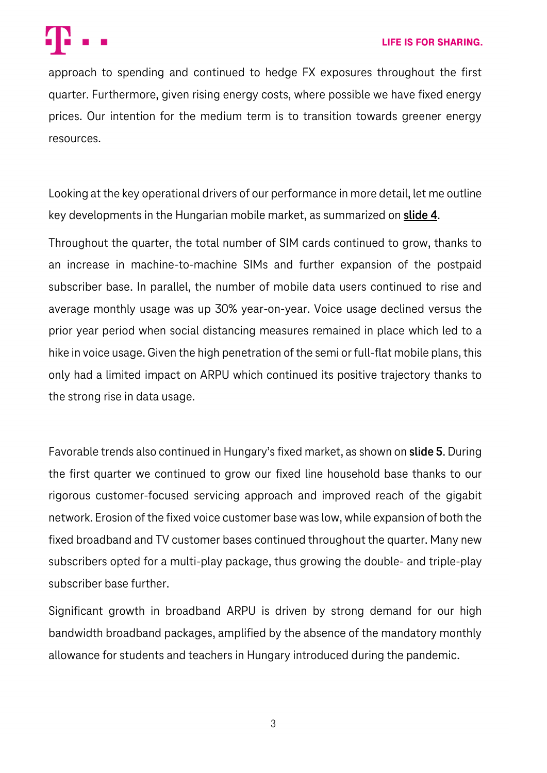

approach to spending and continued to hedge FX exposures throughout the first quarter. Furthermore, given rising energy costs, where possible we have fixed energy prices. Our intention for the medium term is to transition towards greener energy resources.

Looking at the key operational drivers of our performance in more detail, let me outline key developments in the Hungarian mobile market, as summarized on **slide 4**.

Throughout the quarter, the total number of SIM cards continued to grow, thanks to an increase in machine-to-machine SIMs and further expansion of the postpaid subscriber base. In parallel, the number of mobile data users continued to rise and average monthly usage was up 30% year-on-year. Voice usage declined versus the prior year period when social distancing measures remained in place which led to a hike in voice usage. Given the high penetration of the semi or full-flat mobile plans, this only had a limited impact on ARPU which continued its positive trajectory thanks to the strong rise in data usage.

Favorable trends also continued in Hungary's fixed market, as shown on **slide 5**. During the first quarter we continued to grow our fixed line household base thanks to our rigorous customer-focused servicing approach and improved reach of the gigabit network. Erosion of the fixed voice customer base was low, while expansion of both the fixed broadband and TV customer bases continued throughout the quarter. Many new subscribers opted for a multi-play package, thus growing the double- and triple-play subscriber base further.

Significant growth in broadband ARPU is driven by strong demand for our high bandwidth broadband packages, amplified by the absence of the mandatory monthly allowance for students and teachers in Hungary introduced during the pandemic.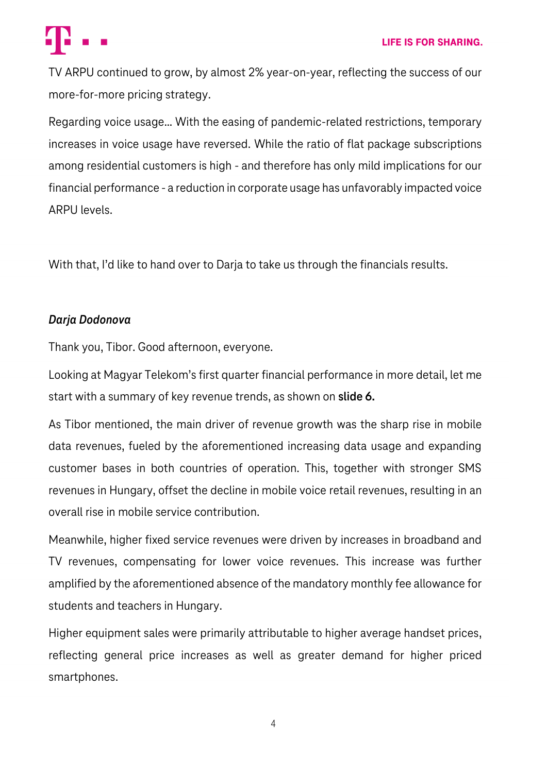

TV ARPU continued to grow, by almost 2% year-on-year, reflecting the success of our more-for-more pricing strategy.

Regarding voice usage… With the easing of pandemic-related restrictions, temporary increases in voice usage have reversed. While the ratio of flat package subscriptions among residential customers is high - and therefore has only mild implications for our financial performance - a reduction in corporate usage has unfavorably impacted voice ARPU levels.

With that, I'd like to hand over to Darja to take us through the financials results.

## *Darja Dodonova*

Thank you, Tibor. Good afternoon, everyone.

Looking at Magyar Telekom's first quarter financial performance in more detail, let me start with a summary of key revenue trends, as shown on **slide 6.**

As Tibor mentioned, the main driver of revenue growth was the sharp rise in mobile data revenues, fueled by the aforementioned increasing data usage and expanding customer bases in both countries of operation. This, together with stronger SMS revenues in Hungary, offset the decline in mobile voice retail revenues, resulting in an overall rise in mobile service contribution.

Meanwhile, higher fixed service revenues were driven by increases in broadband and TV revenues, compensating for lower voice revenues. This increase was further amplified by the aforementioned absence of the mandatory monthly fee allowance for students and teachers in Hungary.

Higher equipment sales were primarily attributable to higher average handset prices, reflecting general price increases as well as greater demand for higher priced smartphones.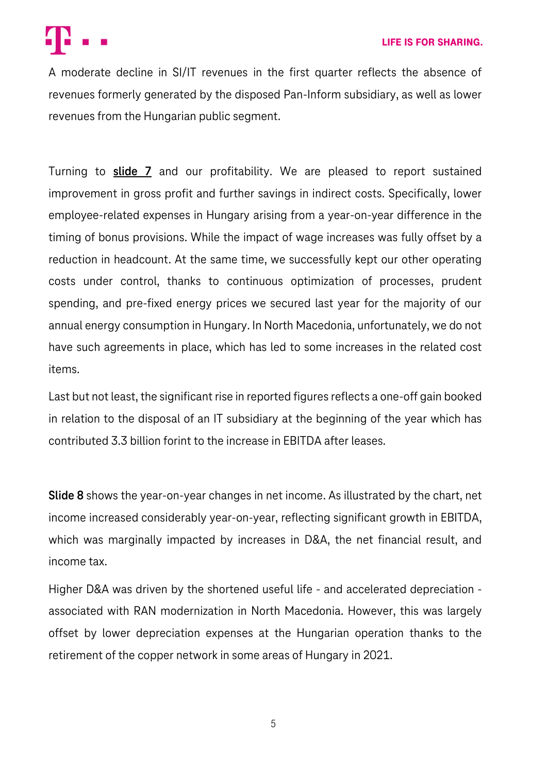

A moderate decline in SI/IT revenues in the first quarter reflects the absence of revenues formerly generated by the disposed Pan-Inform subsidiary, as well as lower revenues from the Hungarian public segment.

Turning to **slide 7** and our profitability. We are pleased to report sustained improvement in gross profit and further savings in indirect costs. Specifically, lower employee-related expenses in Hungary arising from a year-on-year difference in the timing of bonus provisions. While the impact of wage increases was fully offset by a reduction in headcount. At the same time, we successfully kept our other operating costs under control, thanks to continuous optimization of processes, prudent spending, and pre-fixed energy prices we secured last year for the majority of our annual energy consumption in Hungary. In North Macedonia, unfortunately, we do not have such agreements in place, which has led to some increases in the related cost items.

Last but not least, the significant rise in reported figures reflects a one-off gain booked in relation to the disposal of an IT subsidiary at the beginning of the year which has contributed 3.3 billion forint to the increase in EBITDA after leases.

**Slide 8** shows the year-on-year changes in net income. As illustrated by the chart, net income increased considerably year-on-year, reflecting significant growth in EBITDA, which was marginally impacted by increases in D&A, the net financial result, and income tax.

Higher D&A was driven by the shortened useful life - and accelerated depreciation associated with RAN modernization in North Macedonia. However, this was largely offset by lower depreciation expenses at the Hungarian operation thanks to the retirement of the copper network in some areas of Hungary in 2021.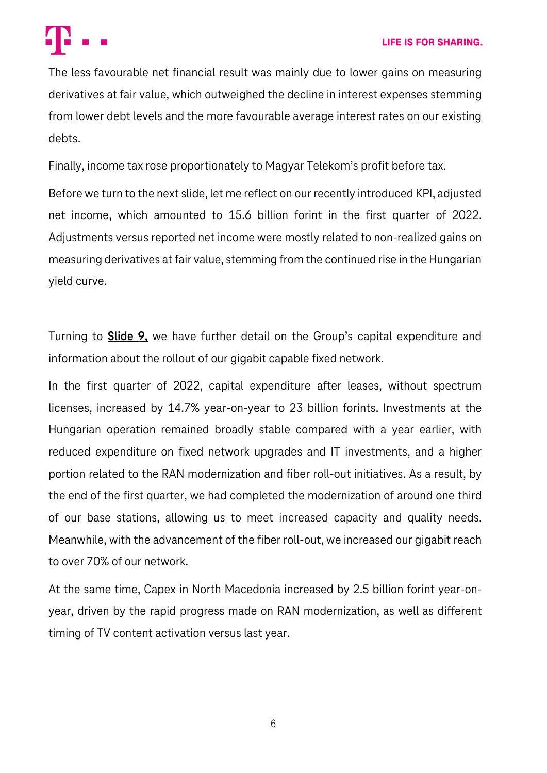

The less favourable net financial result was mainly due to lower gains on measuring derivatives at fair value, which outweighed the decline in interest expenses stemming from lower debt levels and the more favourable average interest rates on our existing debts.

Finally, income tax rose proportionately to Magyar Telekom's profit before tax.

Before we turn to the next slide, let me reflect on our recently introduced KPI, adjusted net income, which amounted to 15.6 billion forint in the first quarter of 2022. Adjustments versus reported net income were mostly related to non-realized gains on measuring derivatives at fair value, stemming from the continued rise in the Hungarian yield curve.

Turning to **Slide 9,** we have further detail on the Group's capital expenditure and information about the rollout of our gigabit capable fixed network.

In the first quarter of 2022, capital expenditure after leases, without spectrum licenses, increased by 14.7% year-on-year to 23 billion forints. Investments at the Hungarian operation remained broadly stable compared with a year earlier, with reduced expenditure on fixed network upgrades and IT investments, and a higher portion related to the RAN modernization and fiber roll-out initiatives. As a result, by the end of the first quarter, we had completed the modernization of around one third of our base stations, allowing us to meet increased capacity and quality needs. Meanwhile, with the advancement of the fiber roll-out, we increased our gigabit reach to over 70% of our network.

At the same time, Capex in North Macedonia increased by 2.5 billion forint year-onyear, driven by the rapid progress made on RAN modernization, as well as different timing of TV content activation versus last year.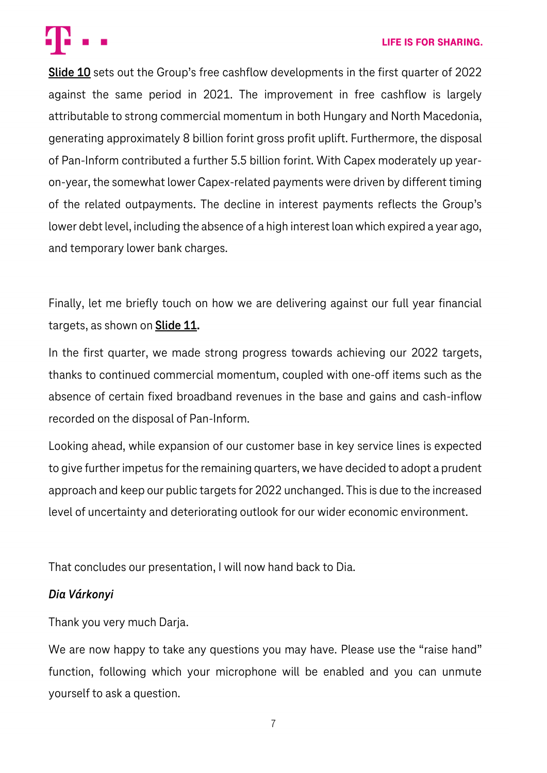#### **LIFE IS FOR SHARING.**



**Slide 10** sets out the Group's free cashflow developments in the first quarter of 2022 against the same period in 2021. The improvement in free cashflow is largely attributable to strong commercial momentum in both Hungary and North Macedonia, generating approximately 8 billion forint gross profit uplift. Furthermore, the disposal of Pan-Inform contributed a further 5.5 billion forint. With Capex moderately up yearon-year, the somewhat lower Capex-related payments were driven by different timing of the related outpayments. The decline in interest payments reflects the Group's lower debt level, including the absence of a high interest loan which expired a year ago, and temporary lower bank charges.

Finally, let me briefly touch on how we are delivering against our full year financial targets, as shown on **Slide 11.**

In the first quarter, we made strong progress towards achieving our 2022 targets, thanks to continued commercial momentum, coupled with one-off items such as the absence of certain fixed broadband revenues in the base and gains and cash-inflow recorded on the disposal of Pan-Inform.

Looking ahead, while expansion of our customer base in key service lines is expected to give further impetus for the remaining quarters, we have decided to adopt a prudent approach and keep our public targets for 2022 unchanged. This is due to the increased level of uncertainty and deteriorating outlook for our wider economic environment.

That concludes our presentation, I will now hand back to Dia.

### *Dia Várkonyi*

Thank you very much Darja.

We are now happy to take any questions you may have. Please use the "raise hand" function, following which your microphone will be enabled and you can unmute yourself to ask a question.